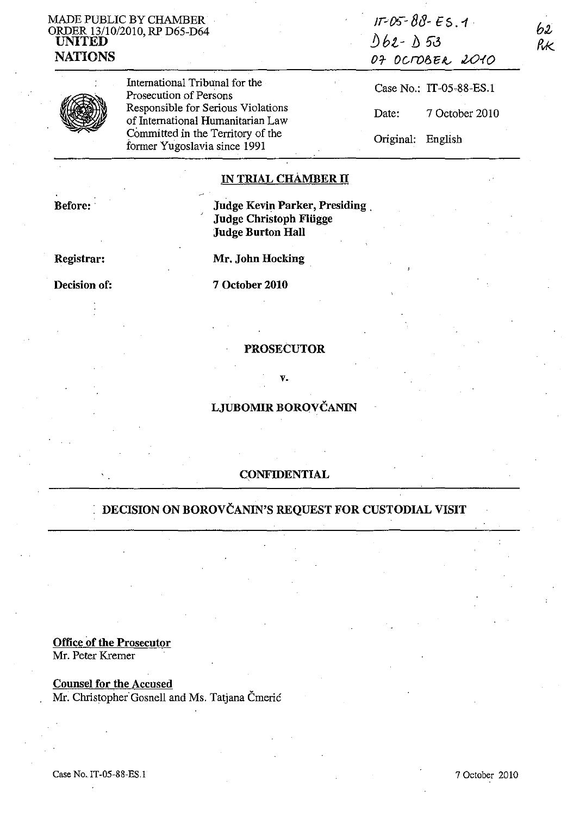### MADE PUBLIC BY CHAMBER ORDER 13110/2010, RP D65-D64 UNITED NATIONS

| N |
|---|
|---|

International Tribunal for the Prosecution of Persons Responsible for Serious Violations of International Humanitarian Law Committed in the Territory of the former Yugoslavia since 1991

| $17 - 05 - 80 - 55.4$ |  |
|-----------------------|--|
| D62-D53               |  |
| OF OCTOBER 2010       |  |
|                       |  |

62, RК

Case No.: IT-05-88-ES.1 Date: 7 October 2010 Original: English

## IN TRIAL CHAMBER II

Before: . . . . . . . . . . . . . . . . Judge Kevin Parker, Presiding. Judge Christoph Fliigge Judge Burton Hall

Registrar: Mr. John Hocking

Decision of: 7 October 2010

#### PROSECUTOR

v.

## LJUBOMIR BOROVČANIN

### CONFIDENTIAL

# DECISION ON BOROVČANIN'S REQUEST FOR CUSTODIAL VISIT

### Office of the Prosecutor

Mr. Peter Kremer

## Counsel for the Accused

Mr. Christopher Gosnell and Ms. Tatjana Čmerić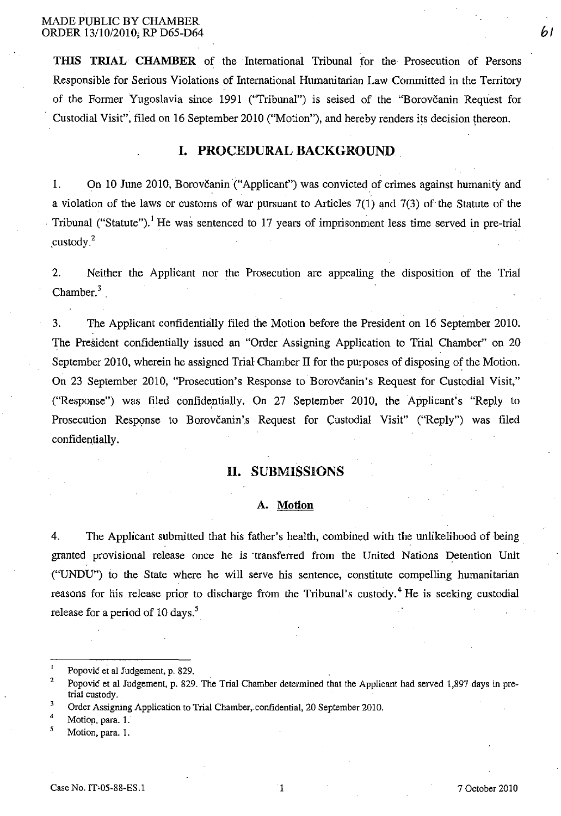**THIS TRIAL** CHAMBER of the International Tribunal for the Prosecution of Persons Responsible for Serious Violations of International Humanitarian Law Committed in the Territory of the Former Yugoslavia since 1991 ("Tribunal") is seised of the "Borovčanin Request for Custodial Visit", filed on 16 September 2010 ("Motion"), and hereby renders its decision \hereon.

### **I. PROCEDURAL BACKGROUND**

1. On 10 June 2010, Borovčanin<sup>'</sup> ("Applicant") was convicted of crimes against humanity and a violation of the laws or customs of war pursuant to Articles 7(1) and 7(3) of the Statute of the Tribunal ("Statute").<sup>1</sup> He was sentenced to 17 years of imprisonment less time served in pre-trial .custody.2

2. Neither the Applicant nor the Prosecution are appealing the disposition of the Trial  $Chamber.<sup>3</sup>$ 

3. The Applicant confidentiaJly filed the Motion before the President on 16 September 2010. The President confidentially issued an "Order Assigning Application to Trial Chamber" on 20 September 2010, wherein he assigned Trial Chamber II for the purposes of disposing of the Motion. On 23 September 2010, "Prosecution's Response to Borovčanin's Request for Custodial Visit," ("Response") was filed confidentially. On 27 September 2010, the Applicant's "Reply to Prosecution Response to Borovčanin's Request for Custodial Visit" ("Reply") was filed confidentially.

## **H. SUBMISSIONS**

#### **A. Motion**

4, The Applicant submitted that his father's health, combined with the unlikelihood of being . granted provisional release once he is 'transferred from the United Nations Detention Unit ("UNDU") io the State where he will serve his sentence, constitute compelling humanitarian reasons for his release prior to discharge from the Tribunal's custody.<sup>4</sup> He is seeking custodial release for a period of 10 days.<sup>5</sup>

Motion, para, 1.

bl

Popović et al Judgement, p. 829,

<sup>2</sup>  Popovic et al Judgement, p, 829, The Trial Chamber determined that the Applicant had served 1,897 days in pretrial custody.

<sup>3</sup>  Order Assigning Application to Trial Chamber, confidential, 20 September 2010.

<sup>4</sup>  4<br>5 Motion, para. 1.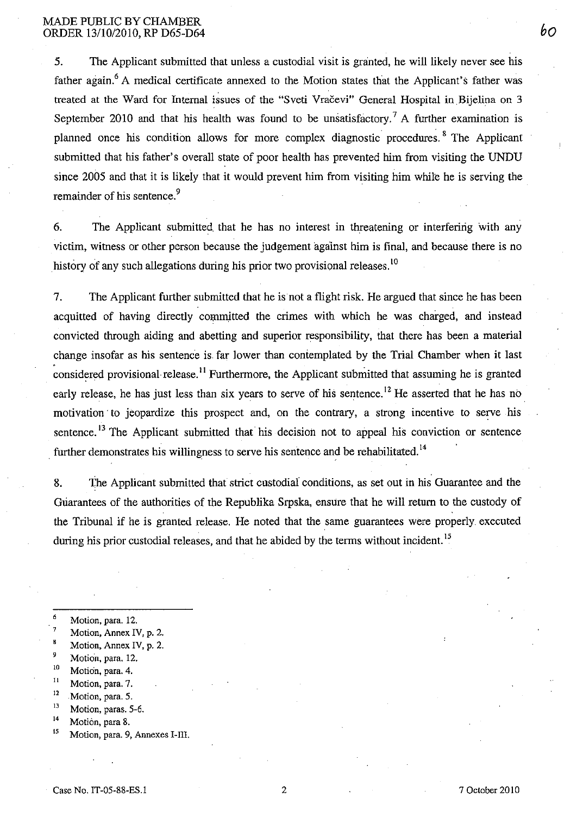#### MADE PUBLIC BY CHAMBER ORDER 13/10/2010, RP D65-D64

5. The Applicant submitted that unless a custodial visit is granted, he will likely never see his father again.<sup>6</sup> A medical certificate annexed to the Motion states that the Applicant's father was treated at the Ward for Internal issues of the "Sveti Vračevi" General Hospital in Bijelina on 3 September 2010 and that his health was found to be unsatisfactory.<sup>7</sup> A further examination is planned once his condition allows for more complex diagnostic procedures. <sup>8</sup> The Applicant submitted that his father's overall state of poor health has prevented him from visiting the UNDU since 2005 and that it is likely that it would prevent him from visiting him while he is serving the remainder of his sentence.<sup>9</sup>

6. The Applicant submitted that he has no interest in threatening or interfering with any victim, witness or other person because the judgement against him is final, and because there is no history of any such allegations during his prior two provisional releases.<sup>10</sup>

7. The Applicant further submitted that he is not a flight risk. He argued that since he has been acquitted of having directly committed the crimes with which he was charged, and instead convicted through aiding and abetting and superior responsibility, that there has been a material change insofar as his sentence is. far lower than contemplated by the Trial Chamber when it last considered provisional release.<sup>11</sup> Furthermore, the Applicant submitted that assuming he is granted early release, he has just less than six years to serve of his sentence.<sup>12</sup> He asserted that he has no motivation to jeopardize this prospect and, on the contrary, a strong incentive to serve his sentence.<sup>13</sup> The Applicant submitted that his decision not to appeal his conviction or sentence further demonstrates his willingness to serve his sentence and be rehabilitated.<sup>14</sup>

8. The Applicant submitted that strict custodial conditions, as set out in his Guarantee and the Guarantees of the authorities of the Republika Srpska, ensure that he will return to the custody of the Tribunal if he is granted release. He noted that the same guarantees were properly executed during his prior custodial releases, and that he abided by the terms without incident.<sup>15</sup>

- 6 Motion, para. 12.
- 7 Motion, Annex IV, p. 2.
- $\bf{g}$ Motion, Annex IV, p. 2.
- <sup>9</sup> Motion, para. 12.
- <sup>10</sup> Motion, para. 4.
- Motion, para. 7.
- $\frac{12}{13}$  Motion, para. 5.
- $^{13}$  Motion, paras. 5-6.
- Motion, para 8.
- **<sup>15</sup>Motion, para. 9, Annexes I-Ill.**

bO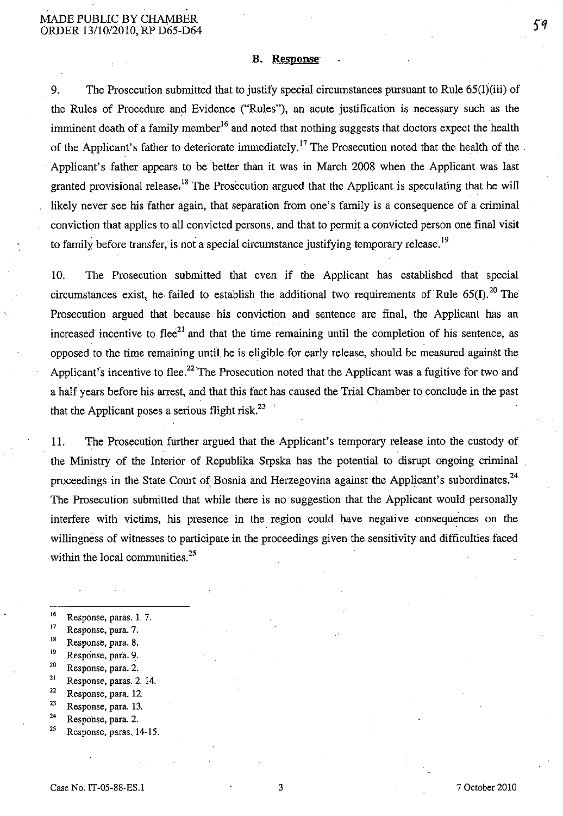#### B. Response

9. The Prosecution submitted that to justify special circumstances pursuant to Rule 65(I)(iii) of the Rules of Procedure and Evidence ("Rules"), an acute justification is necessary such as the imminent death of a family member<sup>16</sup> and noted that nothing suggests that doctors expect the health of the Applicant's father to deteriorate immediately.<sup>17</sup> The Prosecution noted that the health of the. Applicant's father appears to be better than it was in March 2008 when the Applicant was last granted provisional release.<sup>18</sup> The Prosecution argued that the Applicant is speculating that he will likely never see his father again, that separation from one's family is a consequence of a criminal conviction that applies to all convicted persons, and that to permit a convicted person one final visit to family before transfer, is not a special circumstance justifying temporary release.<sup>19</sup>

10. The Prosecution submitted that even if the Applicant has established that special circumstances exist, he failed to establish the additional two requirements of Rule 65(I).<sup>20</sup> The Prosecution argued that because his conviction and sentence are final, the Applicant has an increased incentive to flee<sup>21</sup> and that the time remaining until the completion of his sentence, as opposed to the time remaining until. he is eligible for early release, should be measured against the Applicant's incentive to flee.<sup>22</sup> The Prosecution noted that the Applicant was a fugitive for two and a half years before his arrest, and that this fact has caused the Trial Chamber to conclude in the past that the Applicant poses a serious flight risk. $^{23}$ 

11. The Prosecution further argued that the Applicant's temporary release into the custody of the Ministry of the Interior of Republika Srpska has the potential to disrupt ongoing criminal proceedings in the State Court of Bosnia and Herzegovina against the Applicant's subordinates.<sup>24</sup> The Prosecution submitted that while there is no suggestion that the Applicant would personally interfere with victims, his presence in the region could bave negative consequences on the willingness of witnesses to participate in the proceedings given the sensitivity and difficulties faced within the local communities.<sup>25</sup>

- $^{16}$  Response, paras. 1, 7.
- Response, para. 7.
- <sup>18</sup> Response, para. 8.
- $\frac{19}{20}$  Response, para. 9.
- Response, para. 2.
- $21$  Response, paras. 2, 14.
- 22 Response, para. 12.
- $\frac{23}{24}$  Response, para. 13.
- Response, para. 2.
- 2S Response, paras. 14-15.

Case No. IT-05-88-ES.l 3 7 October 2010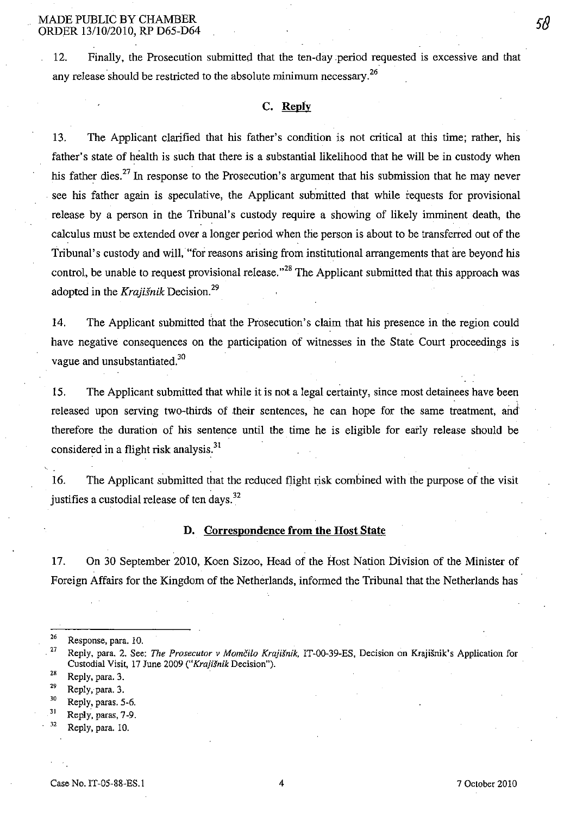12. Finally, the Prosecution submitted that the ten-day period requested is excessive and that any release should be restricted to the absolute minimum necessary.<sup>26</sup>

#### C. Repiy

13. The Applicant clarified that his father's condition is not critical at this time; rather, his father's state of health is such that there is a substantial likelihood that he will be in custody when his father dies.<sup>27</sup> In response to the Prosecution's argument that his submission that he may never see his father again is speculative, the Applicant submitted that while requests for provisional release by a person in the Tribunal's custody require a showing of likely imminent death, the calculus must be extended over a longer period when the person is about to be transferred out of the Tribunal's custody and will,' "for reasons arising from institutional arrangements that are beyond his control, be unable to request provisional release."<sup>28</sup> The Applicant submitted that this approach was adopted in the Krajišnik Decision.<sup>29</sup>

14. The Applicant submitted that the Prosecution's claim that his presence in the region could have negative consequences on the participation of witnesses in the State Court proceedings is vague and unsubstantiated.<sup>30</sup>

IS. The Applicant submitted that while it is not a legal certainty, since most detainees have been released upon serving two-thirds of their sentences, he can hope for the same treatment, and therefore the duration of his sentence until the time he is eligible for early release should be considered in a flight risk analysis.<sup>31</sup>

16. The Applicant submitted that the reduced flight risk combined with the purpose of the visit justifies a custodial release of ten days.<sup>32</sup>

#### D. Correspondence from the Host State

17. On 30 September 2010, Koen Sizoo, Head of the Host Nation Division of the Minister of Foreign Affairs for the Kingdom of the Netherlands, informed the Tribunal that the Netherlands has

 $28$  Reply, para. 3.

- $31$  Reply, paras, 7-9.
- $32$  Reply, para. 10.

 $26$  Response, para. 10.

<sup>&</sup>lt;sup>27</sup> Reply, para. 2. See: *The Prosecutor v Momčilo Krajišnik*, IT-00-39-ES, Decision on Krajišnik's Application for Custodial Visit, 17 June 2009 *("Krajisnik* Decision").

<sup>29</sup> Reply, para. 3.

<sup>30</sup> Reply, paras. 5-6.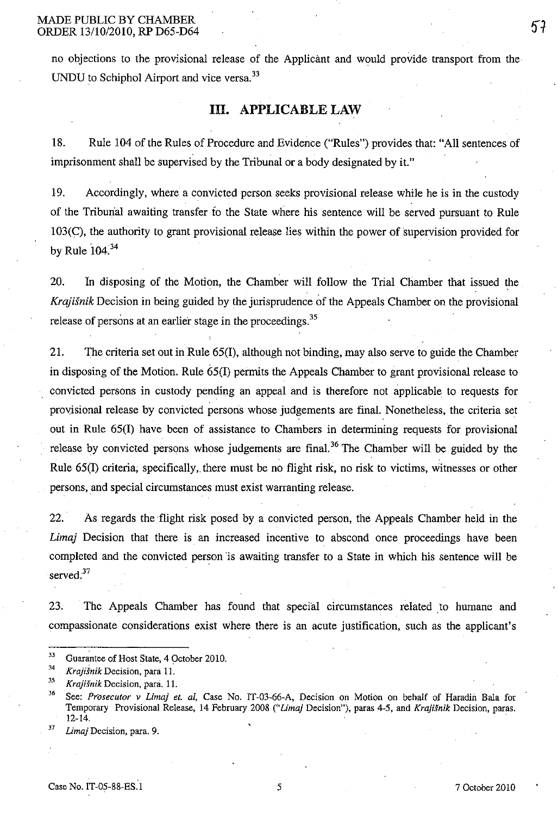no objections to the provisional release of the Applicant and would provide transport from the UNDU to Schiphol Airport and vice versa.<sup>33</sup>

## **Ill. APPLICABLE LAW**

18. Rule 104 of the Rules of Procedure and Evidence ("Rules") provides that: "All sentences of imprisonment shall be supervised by the Tribunal or a body designated by it."

19. Accordingly, where a convicted person seeks provisional release while he is in the custody of the Triburial awaiting transfer fo the State where his sentence will be served pursuant to Rule 103(C), the authority to grant provisional release lies within the power of 'supervision provided for by Rule  $104.<sup>34</sup>$ 

20. In disposing of the Motion, the Chamber will follow the Trial Chamber that issued the *Krajisnik* Decision in being guided by the jurisprudence of the Appeals Chamber on the provisional release of persons at an earlier stage in the proceedings.<sup>35</sup>

21. The criteria set out in Rule 65(1), although not binding, may also serve to guide the Chamber in disposing of the Motion. Rule 65(1) permits the Appeals Chamber to grant provisional release to convicted persons in custody pending an appeal and is therefore not applicable to requests for provisional release by convicted persons whose judgements are final. Nonetheless, the criteria set out in Rule 65(1) have been of assistance to Chambers in determining requests for provisional release by convicted persons whose judgements are final.<sup>36</sup> The Chamber will be guided by the Rule 65(I) criteria, specifically, there must be no flight risk, no risk to victims, witnesses or other persons, and special circumstances must exist warranting release.

22. ' As regards the 'flight risk posed by a convicted person, the Appeals Chamber held in the *Limaj* Decision that there is an increased incentive to abscond once proceedings have been completed and the convicted person 'is awaiting transfer to a State in which his sentence will be served.<sup>37</sup>

23. The Appeals Chamber has found that special circumstances related to humane and compassionate considerations exist where there is an acute justification, such as the applicant's

 $33$  Guarantee of Host State, 4 October 2010.

 $Krajišnik Decision, para 11.$ 

<sup>&</sup>lt;sup>35</sup> Krajišnik Decision, para. 11.

<sup>&</sup>lt;sup>36</sup> See: *Prosecutor v Limaj et. al*, Case No. IT-03-66-A, Decision on Motion on behalf of Haradin Bala for Temporary Provisional Release, 14 February 2008 *("Lima)* Decision"), paras 4-5, and *Kraji.fnik* Decision, paras. 12-14.

*<sup>37</sup> Limaj* **Decision, para. 9.**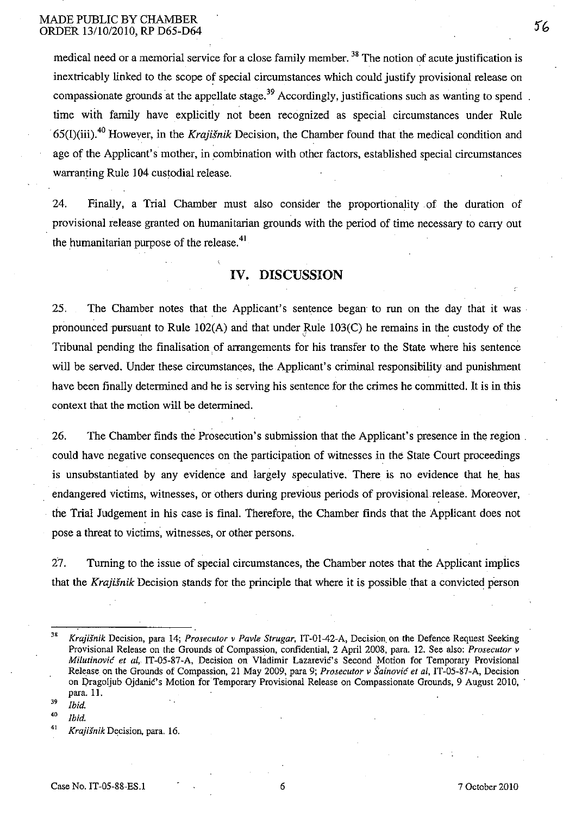medical need or a memorial service for a close family member.<sup>38</sup> The notion of acute justification is inextricably linked to the scope of special circumstances which could justify provisional release on compassionate grounds at the appellate stage.<sup>39</sup> Accordingly, justifications such as wanting to spend. time with family have explicitly not been recognized as special circumstances under Rule -65(I)(iii).4o However, in the *Krajisnik* Decision, the Chamber found that the medical condition and age of the Applicant's mother, in combination with other factors, established special circumstances warranting Rule 104 custodial release.

24. Finally, a Trial Chamber must also consider the proportionality of the duration of provisional release granted on humanitarian grounds with the period of time necessary to carry out the humanitarian purpose of the release.<sup>41</sup>

### **IV. DISCUSSION**

25. The Chamber notes that the Applicant's sentence began to run on the day that it was pronounced pursuant to Rule  $102(A)$  and that under Rule  $103(C)$  he remains in the custody of the Tribunal pending the finalisation of arrangements for his transfer to the State where his sentence will be served. Under these circumstances, the Applicant's criminal responsibility and punishment have been finally determined and he is serving his sentence for the crimes he committed. It is in this context that the motion will be determined.

26. The Chamber finds the Prosecution's submission that the Applicant's presence in the region \_ could have negative consequences on the participation of witnesses in the State Court proceedings is unsubstantiated by any evidence and largely speculative. There is no evidence that he\_ has endangered victims, witnesses, or others during previous periods of provisional release. Moreover, the Trial Judgement in his case is final. Therefore, the Chamber finds that the Applicant does not pose a threat to victims, witnesses, or other persons.

27. Turning to the issue of special circumstances, the Chamber notes that the Applicant implies that the *Krajišnik* Decision stands for the principle that where it is possible that a convicted person

*39 Ibid.* 

*'0 Ibid.* 

<sup>&</sup>lt;sup>38</sup> *Krajišnik Decision, para 14; Prosecutor v Pavle Strugar, IT-01-42-A, Decision on the Defence Request Seeking* Provisional Release on the Grounds of Compassion, confidential, 2 April 2008, para. 12. See also: *Prosecutor v Milutinović et al, IT-05-87-A, Decision on Vladimir Lazarević's Second Motion for Temporary Provisional* Release on the Grounds of Compassion, 21 May 2009, para 9; *Prosecutor v Sainovic et ai,* IT-05-87-A, Decision on Oragoljub Ojdanic's Motion for Temporary Provisional Release on Compassionate Grounds, 9 August 2010, " para. 11.

<sup>&</sup>lt;sup>41</sup> Krajišnik Decision, para. 16.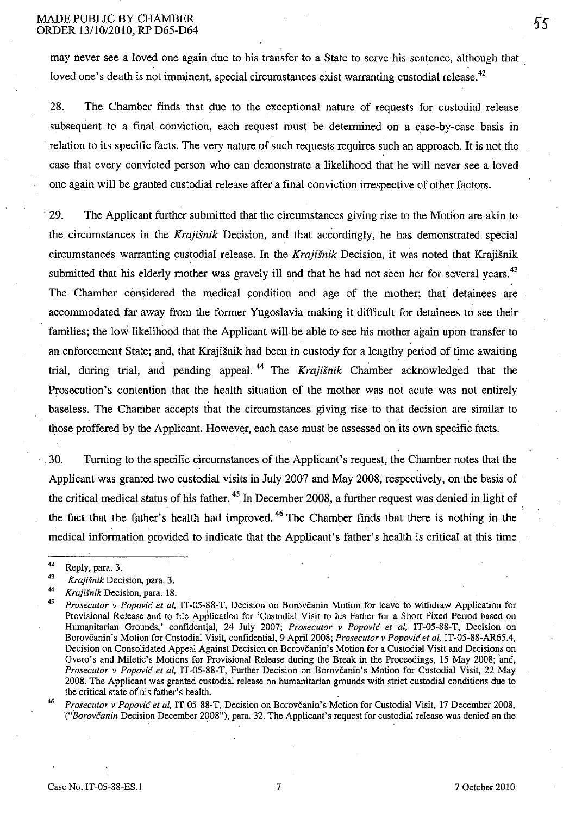#### MADE PUBLIC BY CHAMBER ORDER 13/10/2010, RP D65-D64

may never see a loved one again due to his transfer to a State to serve his sentence, although that loved one's death is not imminent, special circumstances exist warranting custodial release.<sup>42</sup>

28. The Chamber finds that due to the exceptional nature of requests for custodial release subsequent to a final conviction, each request must be determined on a case-by-case basis in relation to its specific facts. The very nature of such requests requires such an approach. **It** is not the case that every convicted person who can demonstrate a likelihood that he will never see a loved one again will be granted custodial release after a final conviction irrespective of other factors.

29. The Applicant further submitted that the circumstances giving rise to the Motion are akin to the circumstances in the Krajisnik Decision, and that accordingly, he has demonstrated special circumstances warranting custodial release. In the Krajišnik Decision, it was noted that Krajišnik submitted that his elderly mother was gravely ill and that he had not seen her for several years.<sup>43</sup> The Chamber considered the medical condition and age of the mother; that detainees are accommodated far away from the former Yugoslavia making it difficult for detainees to see their families; the low likelihood that the Applicant will be able to see his mother again upon transfer to an enforcement State; and, that Krajisnik had been in custody for a lengthy period of time awaiting trial, during trial, and pending appeal. <sup>44</sup> The Krajišnik Chamber acknowledged that the Prosecution's contention that the health situation of the mother was not acute was not entirely baseless. The Chamber accepts that the circumstances giving rise to that decision are similar to those proffered by the Applicant. However, each case must be assessed on its own specific facts.

30. Turning to the specific circumstances of the Applicant's request, the Chamber notes that the Applicant was granted two custodial visits in July 2007 and May 2008, respectively, on the basis of the critical medical status of his father.<sup>45</sup> In December 2008, a further request was denied in light of the fact that the father's health had improved.<sup>46</sup> The Chamber finds that there is nothing in the medical information provided to indicate that the Applicant's father's health is critical at this time

<sup>&</sup>lt;sup>42</sup> Reply, para. 3.

<sup>43</sup>*Krajisnik* **Decision, para. 3.** 

<sup>&</sup>lt;sup>44</sup> *Krajišnik* Decision, para. 18.

*<sup>45</sup> Prosecutor v Popovic et ai,* **IT-05-88-T, DeCision on Borovcanin Motion for leave to withdraw Application for**  Provisional Release and to file Application for 'Custodial Visit to his Father for a Short Fixed Period based on Humanitarian Grounds,' confidential, 24 July 2007; *Prosecutor v Popović et al*, IT-05-88-T, Decision on Borovčanin's Motion for Custodial Visit, confidential, 9 April 2008; *Prosecutor v Popović et al*, IT-05-88-AR65.4, Decision on Consolidated Appeal Against Decision on Borovčanin's Motion for a Custodial Visit and Decisions on Gvero's and Miletic's Motions for Provisional Release during the Break in the Proceedings, 15 May 2008; 'and, *Prosecutor v Popović et al, IT-05-88-T, Further Decision on Borovčanin's Motion for Custodial Visit, 22 May* 2008. The Applicant was granted custodial release on humanitarian grounds with strict custodial conditions due to the critical state of his father's health.

<sup>&</sup>lt;sup>46</sup> Prosecutor v Popović et al, IT-05-88-T, Decision on Borovčanin's Motion for Custodial Visit, 17 December 2008, *'("Borovcan;n* Decision December 2008"), para. 32. The Applicant's request for custodial release was denied on the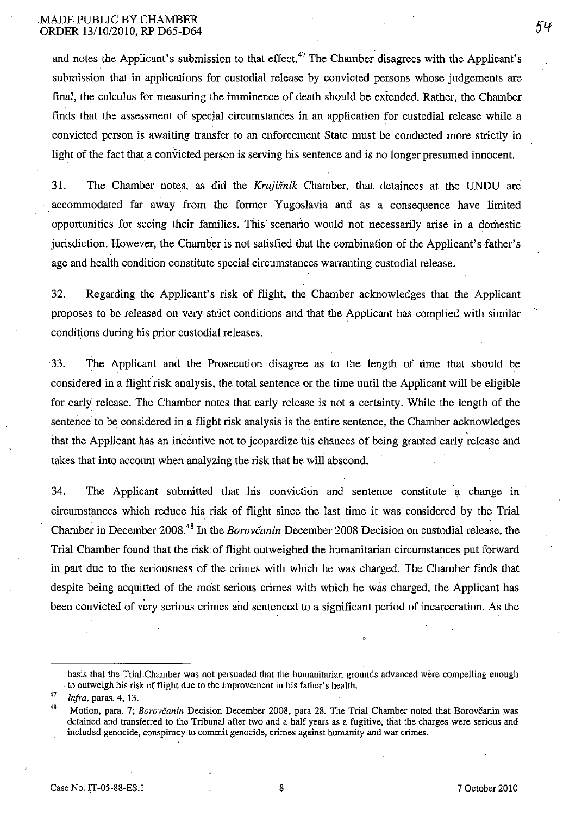and notes the Applicant's submission to that effect.<sup>47</sup> The Chamber disagrees with the Applicant's submission that in applications for custodial release by convicted persons whose judgements are final, the calculus for measuring the imminence of death should be extended. Rather, the Chamber finds that the assessment of special circumstances in an application for custodial release while a convicted person is awaiting transfer to an enforcement State must be conducted more strictly in light of the fact that a convicted person is serving his sentence and is no longer presumed innocent.

31. The Chamber notes, as did the *Krajisnik* Chamber, that detainees at the UNDU ani accommodated far away from the former Yugoslavia and as a consequence have limited opportunities for seeing their families. This' scenario would not necessarily arise in a domestic jurisdiction. However, the Chamber is not satisfied that the combination of the Applicant's father's age and health condition constitute special circumstances warranting custodial release.

32. Regarding the Applicant's risk of flight, the Chamber acknowledges that the Applicant proposes to be released On very strict conditions and that the Applicant has complied with similar conditions during his prior custodial releases.

'33. The Applicant and the Prosecution disagree as to the length of time that should be considered in a flight'risk analysis, the total sentence or the time until the Applicant will be eligible for early release. The Chamber notes that early release is not a certainty. While the length of the sentence to be considered in a flight risk analysis is the entire sentence, the Chamber acknowledges that the Applicant has an incentive not to jeopardize his chances of being granted early release and takes that into account when analyzing the risk that he will abscond.

34. The Applicant submitted that ,his conviction and sentence constitute 'a change in circumstances which reduce his risk of flight since the last time it was considered by the Trial Chamber in December 2008.<sup>48</sup> In the *Borovčanin* December 2008 Decision on custodial release, the Trial Chamber found that the risk of flight outweighed the humanitarian circumstances put forward in part due to the seriousness of the crimes with which he was charged. The Chamber finds that despite being acquitted of the most serious crimes with which he was charged, the Applicant has been convicted of very serious crimes and sentenced to a significant period of incarceration. As the

basis that the Trial Chamber was not persuaded that the humanitarian grounds advanced were compelling enough to outweigh his risk of flight due to the improvement in his father's health.

*<sup>47</sup> Infra.* **paras. 4, 13.** 

<sup>48</sup> Motion, para. 7; *Borovcanin* Decision December 2008, para 28. The Trial Chamber noted that Borovcanin was detained and transferred to the Tribunal after two and a half years as a fugitive, that the charges were serious and **included genocide, conspiracy to commit genocide, crimes against humanity and war crimes.**